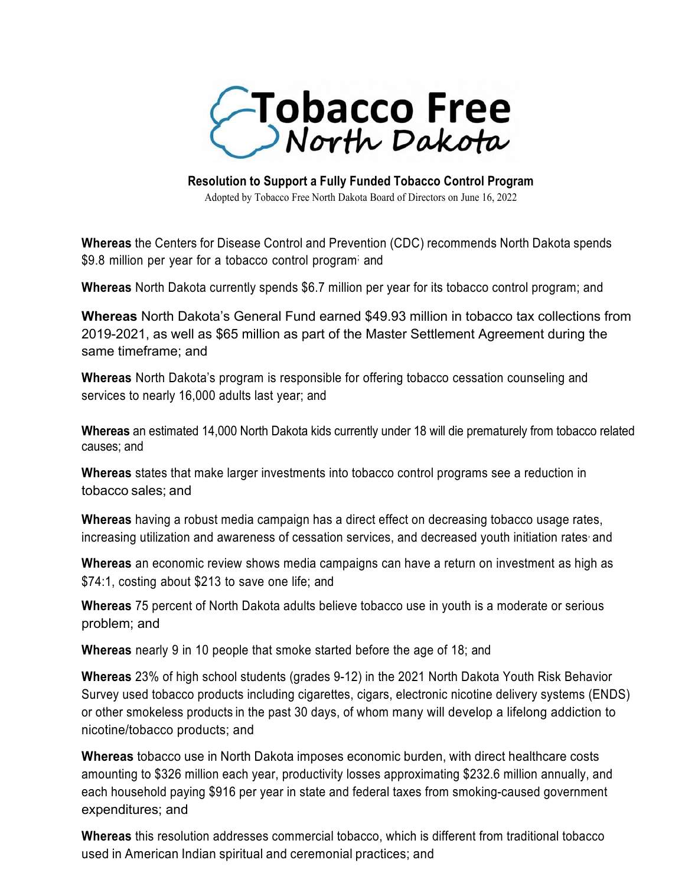

**Resolution to Support a Fully Funded Tobacco Control Program**

Adopted by Tobacco Free North Dakota Board of Directors on June 16, 2022

**Whereas** the Centers for Disease Control and Prevention (CDC) recommends North Dakota spends \$9.8 million per year for a tobacco control program and

**Whereas** North Dakota currently spends \$6.7 million per year for its tobacco control program; and

**Whereas** North Dakota's General Fund earned \$49.93 million in tobacco tax collections from 2019-2021, as well as \$65 million as part of the Master Settlement Agreement during the same timeframe; and

**Whereas** North Dakota's program is responsible for offering tobacco cessation counseling and services to nearly 16,000 adults last year; and

**Whereas** an estimated 14,000 North Dakota kids currently under 18 will die prematurely from tobacco related causes; and

**Whereas** states that make larger investments into tobacco control programs see a reduction in tobacco sales; and

**Whereas** having a robust media campaign has a direct effect on decreasing tobacco usage rates, increasing utilization and awareness of cessation services, and decreased youth initiation rates and

**Whereas** an economic review shows media campaigns can have a return on investment as high as \$74:1, costing about \$213 to save one life; and

**Whereas** 75 percent of North Dakota adults believe tobacco use in youth is a moderate or serious problem; and

**Whereas** nearly 9 in 10 people that smoke started before the age of 18; and

**Whereas** 23% of high school students (grades 9-12) in the 2021 North Dakota Youth Risk Behavior Survey used tobacco products including cigarettes, cigars, electronic nicotine delivery systems (ENDS) or other smokeless products in the past 30 days, of whom many will develop a lifelong addiction to nicotine/tobacco products; and

**Whereas** tobacco use in North Dakota imposes economic burden, with direct healthcare costs amounting to \$326 million each year, productivity losses approximating \$232.6 million annually, and each household paying \$916 per year in state and federal taxes from smoking-caused government expenditures; and

**Whereas** this resolution addresses commercial tobacco, which is different from traditional tobacco used in American Indian spiritual and ceremonial practices; and